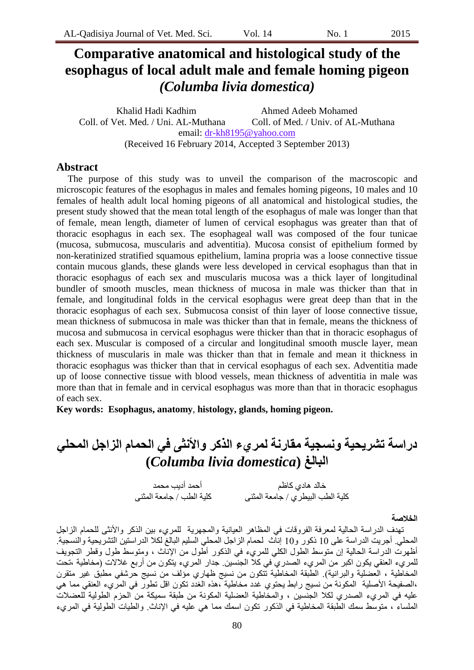# **Comparative anatomical and histological study of the esophagus of local adult male and female homing pigeon**  *(Columba livia domestica)*

Khalid Hadi Kadhim Ahmed Adeeb Mohamed Coll. of Vet. Med. / Uni. AL-Muthana Coll. of Med. / Univ. of AL-Muthana email: dr-kh8195@yahoo.com (Received 16 February 2014, Accepted 3 September 2013)

# **Abstract**

The purpose of this study was to unveil the comparison of the macroscopic and microscopic features of the esophagus in males and females homing pigeons, 10 males and 10 females of health adult local homing pigeons of all anatomical and histological studies, the present study showed that the mean total length of the esophagus of male was longer than that of female, mean length, diameter of lumen of cervical esophagus was greater than that of thoracic esophagus in each sex. The esophageal wall was composed of the four tunicae (mucosa, submucosa, muscularis and adventitia). Mucosa consist of epithelium formed by non-keratinized stratified squamous epithelium, lamina propria was a loose connective tissue contain mucous glands, these glands were less developed in cervical esophagus than that in thoracic esophagus of each sex and muscularis mucosa was a thick layer of longitudinal bundler of smooth muscles, mean thickness of mucosa in male was thicker than that in female, and longitudinal folds in the cervical esophagus were great deep than that in the thoracic esophagus of each sex. Submucosa consist of thin layer of loose connective tissue, mean thickness of submucosa in male was thicker than that in female, means the thickness of mucosa and submucosa in cervical esophagus were thicker than that in thoracic esophagus of each sex. Muscular is composed of a circular and longitudinal smooth muscle layer, mean thickness of muscularis in male was thicker than that in female and mean it thickness in thoracic esophagus was thicker than that in cervical esophagus of each sex. Adventitia made up of loose connective tissue with blood vessels, mean thickness of adventitia in male was more than that in female and in cervical esophagus was more than that in thoracic esophagus of each sex.

**Key words: Esophagus, anatomy**, **histology, glands, homing pigeon.** 

**دراسة تشزٌحٍة ونسجٍة مقارنة لمزيء الذكز واألنثى فً الحمام الزاجل المحلً (***Columba livia domestica***) البالغ**

> خالد هادي كاظم أحد أديب محمد كلية الطب البيطري / جامعة المثُني كلية الطب / جامعة المثُني

#### **الخالصة**

تهدف الدراسة الحالية لمعرفة الفروفات في المظاهر العيانية والمجهرية للمريء بين الذكر والأنثى للحمام الزاجل المحليّ. أجريت الدراسة على 10 ذكور و10 إناث لحمام الزاجل المحلي السليم البالغ لكلا الدراستين التشريحية والنسجية أظهرت الدراسة الحالية إن متوسط الطول الكلي للمريء في الذكور أطول من الإناث ، ومتوسط طول وقطر التجويف للمريء العُنقي يكون اكبر من المريء الصدري في كلاً الجنسين. جدار المريء يتكون من أربع غلالات (مخاطية ،تحت المخاطية ، العضلية والبرانية) ِ الطبقة المخاطية نتكون من نسيج ظهاري مؤلف من نسيج حرشفي مطبق غير منقرن ،الصفيحة الأصلية المكونة من نسيج رابط يحتوي غدد مخاطية ْ،هذه الغدّد تكون اقل تطور في المرّيء العنقي مما هي عليه في المريء الصدري لكلا الجنسين ، والمخاطية العضلية المكونة من طبقة سميكة من الحزم الطولية للعضلات العلساء ، متوسط سمك الطبقة المخاطية في الذكور نكون اسمك مما هي عليه في الإناث. والطيات الطولية في المريء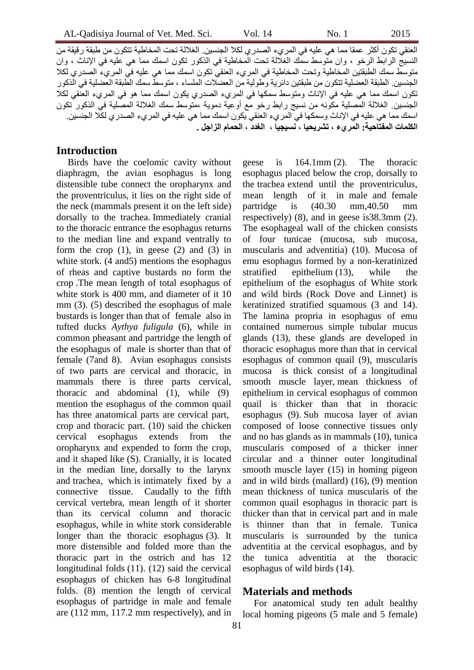العُنقي تكورن أكثر عمقا مما هي عليه في المريء الصدري لكلا الجنسين. الغلالة تحت المخاطية تتكون من طبقة رقيقة من النسيج الرابط الرخو ، وان منوسط سمك الغلالة تحت المخاطية في الذكور نكون اسمك مما هي عليه في الإناث ، وان متوسط سمك الطبقتين المخاطية وتحت المخاطية في المريء العنقي تكون اسمك مما هي عليه في المريء الصدري لكلا الجنسين. الطبقة العضلية تتكون من طبقتين دائر ية وطولية من العضلات الملساء ، متوسط سمك الطبقة العضلية في الذكور تكون اسمك مما هي عليه في الإناث ومتوسط سمكها في المريء الصدري يكون اسمك مما هو في المريء العُنقي لكلا الجنسين ِ الغلالة المصلية مكونه من نسيج رابط رخو مع أوعية دموية ،متوسط سمك الغلالة المصلية في الذكور تكون اسمك مما هي عليه في الإناث وسمكها في المريء العنقي يكون اسمك مما هي عليه في المريء الصدري لكلا الجنسين. **الكلمات المفتاحٍة: المزيء ، تشزٌحٍا ، نسٍجٍا ، الغذد ، الحمام الزاجل .**

# **Introduction**

Birds have the coelomic cavity without diaphragm, the avian esophagus is long distensible tube connect the oropharynx and the proventriculus, it lies on the right side of the neck (mammals present it on the left side) dorsally to the trachea. Immediately cranial to the thoracic entrance the esophagus returns to the median line and expand ventrally to form the crop  $(1)$ , in geese  $(2)$  and  $(3)$  in white stork.  $(4 \text{ and } 5)$  mentions the esophagus of rheas and captive bustards no form the crop .The mean length of total esophagus of white stork is 400 mm, and diameter of it 10 mm (3). (5) described the esophagus of male bustards is longer than that of female also in tufted ducks *Aythya fuligula* (6), while in common pheasant and partridge the length of the esophagus of male is shorter than that of female (7and 8). Avian esophagus consists of two parts are cervical and thoracic, in mammals there is three parts cervical, thoracic and abdominal (1), while (9) mention the esophagus of the common quail has three anatomical parts are cervical part, crop and thoracic part. (10) said the chicken cervical esophagus extends from the oropharynx and expended to form the crop, and it shaped like (S). Cranially, it is located in the median line, dorsally to the larynx and trachea, which is intimately fixed by a connective tissue. Caudally to the fifth cervical vertebra, mean length of it shorter than its cervical column and thoracic esophagus, while in white stork considerable longer than the thoracic esophagus (3). It more distensible and folded more than the thoracic part in the ostrich and has 12 longitudinal folds (11). (12) said the cervical esophagus of chicken has 6-8 longitudinal folds. (8) mention the length of cervical esophagus of partridge in male and female are (112 mm, 117.2 mm respectively), and in

geese is 164.1mm (2). The thoracic esophagus placed below the crop, dorsally to the trachea extend until the proventriculus, mean length of it in male and female partridge is (40.30 mm,40.50 mm respectively) (8), and in geese is38.3mm (2). The esophageal wall of the chicken consists of four tunicae (mucosa, sub mucosa, muscularis and adventitia) (10). Mucosa of emu esophagus formed by a non-keratinized stratified epithelium (13), while the epithelium of the esophagus of White stork and wild birds (Rock Dove and Linnet) is keratinized stratified squamous (3 and 14). The lamina propria in esophagus of emu contained numerous simple tubular mucus glands (13), these glands are developed in thoracic esophagus more than that in cervical esophagus of common quail (9), muscularis mucosa is thick consist of a longitudinal smooth muscle layer, mean thickness of epithelium in cervical esophagus of common quail is thicker than that in thoracic esophagus (9). Sub mucosa layer of avian composed of loose connective tissues only and no has glands as in mammals (10), tunica muscularis composed of a thicker inner circular and a thinner outer longitudinal smooth muscle layer (15) in homing pigeon and in wild birds (mallard) (16), (9) mention mean thickness of tunica muscularis of the common quail esophagus in thoracic part is thicker than that in cervical part and in male is thinner than that in female. Tunica muscularis is surrounded by the tunica adventitia at the cervical esophagus, and by the tunica adventitia at the thoracic esophagus of wild birds (14).

# **Materials and methods**

For anatomical study ten adult healthy local homing pigeons (5 male and 5 female)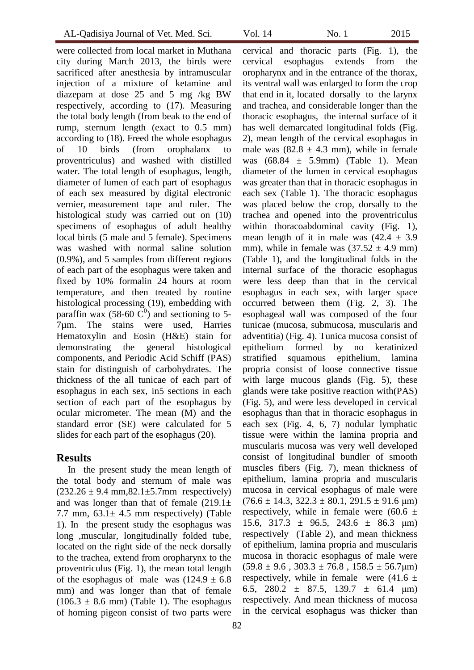were collected from local market in Muthana city during March 2013, the birds were sacrificed after anesthesia by intramuscular injection of a mixture of ketamine and diazepam at dose 25 and 5 mg /kg BW respectively, according to (17). Measuring the total body length (from beak to the end of rump, sternum length (exact to 0.5 mm) according to (18). Freed the whole esophagus of 10 birds (from orophalanx to proventriculus) and washed with distilled water. The total length of esophagus, length, diameter of lumen of each part of esophagus of each sex measured by digital electronic vernier, measurement tape and ruler. The histological study was carried out on (10) specimens of esophagus of adult healthy local birds (5 male and 5 female). Specimens was washed with normal saline solution (0.9%), and 5 samples from different regions of each part of the esophagus were taken and fixed by 10% formalin 24 hours at room temperature, and then treated by routine histological processing (19), embedding with paraffin wax (58-60  $\tilde{C}^0$ ) and sectioning to 5-7µm. The stains were used, Harries Hematoxylin and Eosin (H&E) stain for demonstrating the general histological components, and Periodic Acid Schiff (PAS) stain for distinguish of carbohydrates. The thickness of the all tunicae of each part of esophagus in each sex, in5 sections in each section of each part of the esophagus by ocular micrometer. The mean (M) and the standard error (SE) were calculated for 5 slides for each part of the esophagus (20).

# **Results**

In the present study the mean length of the total body and sternum of male was  $(232.26 \pm 9.4 \text{ mm}, 82.1 \pm 5.7 \text{ mm}$  respectively) and was longer than that of female  $(219.1\pm$ 7.7 mm,  $63.1 \pm 4.5$  mm respectively) (Table 1). In the present study the esophagus was long ,muscular, longitudinally folded tube, located on the right side of the neck dorsally to the trachea, extend from oropharynx to the proventriculus (Fig. 1), the mean total length of the esophagus of male was  $(124.9 \pm 6.8)$ mm) and was longer than that of female  $(106.3 \pm 8.6 \text{ mm})$  (Table 1). The esophagus of homing pigeon consist of two parts were

cervical and thoracic parts (Fig. 1), the cervical esophagus extends from the oropharynx and in the entrance of the thorax, its ventral wall was enlarged to form the crop that end in it, located dorsally to the larynx and trachea, and considerable longer than the thoracic esophagus, the internal surface of it has well demarcated longitudinal folds (Fig. 2), mean length of the cervical esophagus in male was  $(82.8 \pm 4.3 \text{ mm})$ , while in female was  $(68.84 \pm 5.9 \text{mm})$  (Table 1). Mean diameter of the lumen in cervical esophagus was greater than that in thoracic esophagus in each sex (Table 1). The thoracic esophagus was placed below the crop, dorsally to the trachea and opened into the proventriculus within thoracoabdominal cavity (Fig. 1), mean length of it in male was  $(42.4 \pm 3.9)$ mm), while in female was  $(37.52 \pm 4.9 \text{ mm})$ (Table 1), and the longitudinal folds in the internal surface of the thoracic esophagus were less deep than that in the cervical esophagus in each sex, with larger space occurred between them (Fig. 2, 3). The esophageal wall was composed of the four tunicae (mucosa, submucosa, muscularis and adventitia) (Fig. 4). Tunica mucosa consist of epithelium formed by no keratinized stratified squamous epithelium, lamina propria consist of loose connective tissue with large mucous glands (Fig. 5), these glands were take positive reaction with(PAS) (Fig. 5), and were less developed in cervical esophagus than that in thoracic esophagus in each sex (Fig. 4, 6, 7) nodular lymphatic tissue were within the lamina propria and muscularis mucosa was very well developed consist of longitudinal bundler of smooth muscles fibers (Fig. 7), mean thickness of epithelium, lamina propria and muscularis mucosa in cervical esophagus of male were  $(76.6 \pm 14.3, 322.3 \pm 80.1, 291.5 \pm 91.6 \text{ }\mu\text{m})$ respectively, while in female were  $(60.6 \pm$ 15.6, 317.3  $\pm$  96.5, 243.6  $\pm$  86.3  $\mu$ m) respectively (Table 2), and mean thickness of epithelium, lamina propria and muscularis mucosa in thoracic esophagus of male were  $(59.8 \pm 9.6, 303.3 \pm 76.8, 158.5 \pm 56.7 \mu m)$ respectively, while in female were  $(41.6 \pm$ 6.5, 280.2  $\pm$  87.5, 139.7  $\pm$  61.4  $\mu$ m) respectively. And mean thickness of mucosa in the cervical esophagus was thicker than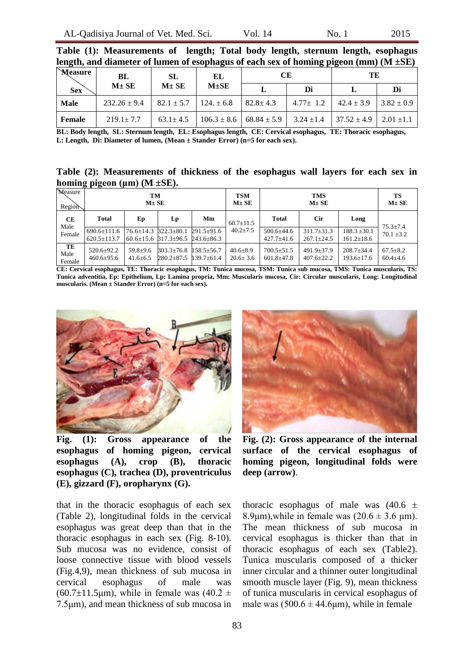| Tengul, and diameter of funich of esophagus of each sex of homing pigeon (mill) (b) $\pm$ 3E) |                  |                                 |            |                                 |                                 |                                |                |  |  |  |  |
|-----------------------------------------------------------------------------------------------|------------------|---------------------------------|------------|---------------------------------|---------------------------------|--------------------------------|----------------|--|--|--|--|
| <b>Measure</b>                                                                                | BL               | SL                              | EL         |                                 | CЕ                              | TЕ                             |                |  |  |  |  |
| <b>Sex</b>                                                                                    | $M \pm SE$       | $M \pm SE$                      | $M \pm SE$ |                                 | Di                              |                                | Di             |  |  |  |  |
| <b>Male</b>                                                                                   | $232.26 \pm 9.4$ | $82.1 \pm 5.7$   124. $\pm 6.8$ |            | $82.8 \pm 4.3$                  | $4.77 \pm 1.2$   $42.4 \pm 3.9$ |                                | $3.82 \pm 0.9$ |  |  |  |  |
| Female                                                                                        | $219.1 \pm 7.7$  | $63.1 \pm 4.5$                  |            | $106.3 \pm 8.6$ 68.84 $\pm$ 5.9 | $3.24 \pm 1.4$                  | $37.52 \pm 4.9$ 2.01 $\pm 1.1$ |                |  |  |  |  |

**Table (1): Measurements of length; Total body length, sternum length, esophagus length, and diameter of lumen of esophagus of each sex of homing pigeon (mm) (M ±SE)**

**BL: Body length, SL: Sternum length, EL: Esophagus length, CE: Cervical esophagus, TE: Thoracic esophagus, L: Length, Di: Diameter of lumen, (Mean ± Stander Error) (n=5 for each sex).**

**Table (2): Measurements of thickness of the esophagus wall layers for each sex in homing pigeon (μm) (M ±SE).**

| Measure<br>Region    | TМ<br>$M \pm SE$                       |                                |                                                                       |                                      | <b>TSM</b><br>$M \pm SE$         | <b>TMS</b><br>$M \pm SE$             |                                      |                                      | TS<br>$M \pm SE$                 |
|----------------------|----------------------------------------|--------------------------------|-----------------------------------------------------------------------|--------------------------------------|----------------------------------|--------------------------------------|--------------------------------------|--------------------------------------|----------------------------------|
| CЕ<br>Male           | Total                                  | Ep                             | Lp                                                                    | Mm                                   | $60.7 \pm 11.5$                  | <b>Total</b>                         | <b>Cir</b>                           | Long                                 | $75.3 \pm 7.4$                   |
| Female               | $690.6 \pm 111.6$<br>$620.5 \pm 113.7$ | $76.6 \pm 14.3$                | $322.3 \pm 80.1$<br>$60.6 \pm 15.6$ $817.3 \pm 96.5$ $243.6 \pm 86.3$ | $291.5+91.6$                         | $40.2 \pm 7.5$                   | $500.6 \pm 44.6$<br>$427.7 \pm 41.6$ | $311.7 \pm 31.3$<br>$267.1 \pm 24.5$ | $188.3 \pm 30.1$<br>$161.2 \pm 18.6$ | $70.1 + 3.2$                     |
| TE<br>Male<br>Female | $520.6 \pm 92.2$<br>$460.6 \pm 95.6$   | $59.8 + 9.6$<br>$41.6 \pm 6.5$ | $303.3 \pm 76.8$<br>$280.2 \pm 87.5$                                  | $158.5 \pm 56.7$<br>$139.7 \pm 61.4$ | $40.6 \pm 8.9$<br>$20.6 \pm 3.6$ | $700.5 \pm 51.5$<br>$601.8 \pm 47.8$ | $491.9 \pm 37.9$<br>$407.6 \pm 22.2$ | $208.7 \pm 34.4$<br>$193.6 \pm 17.6$ | $67.5 \pm 8.2$<br>$60.4 \pm 4.6$ |

**CE: Cervical esophagus, TE: Thoracic esophagus, TM: Tunica mucosa, TSM: Tunica sub mucosa, TMS: Tunica muscularis, TS: Tunica adventitia, Ep: Epithelium, Lp: Lamina propria, Mm: Muscularis mucosa, Cir: Circular muscularis, Long: Longitudinal muscularis. (Mean ± Stander Error) (n=5 for each sex).**



**Fig. (1): Gross appearance of the esophagus of homing pigeon, cervical esophagus (A), crop (B), thoracic esophagus (C), trachea (D), proventriculus (E), gizzard (F), oropharynx (G).**

that in the thoracic esophagus of each sex (Table 2), longitudinal folds in the cervical esophagus was great deep than that in the thoracic esophagus in each sex (Fig. 8-10). Sub mucosa was no evidence, consist of loose connective tissue with blood vessels (Fig.4,9), mean thickness of sub mucosa in cervical esophagus of male was  $(60.7\pm11.5\mu m)$ , while in female was  $(40.2\pm$ 7.5μm), and mean thickness of sub mucosa in



**Fig. (2): Gross appearance of the internal surface of the cervical esophagus of homing pigeon, longitudinal folds were deep (arrow)**.

thoracic esophagus of male was  $(40.6 \pm$ 8.9 $\mu$ m), while in female was (20.6  $\pm$  3.6  $\mu$ m). The mean thickness of sub mucosa in cervical esophagus is thicker than that in thoracic esophagus of each sex (Table2). Tunica muscularis composed of a thicker inner circular and a thinner outer longitudinal smooth muscle layer (Fig. 9), mean thickness of tunica muscularis in cervical esophagus of male was  $(500.6 \pm 44.6 \mu m)$ , while in female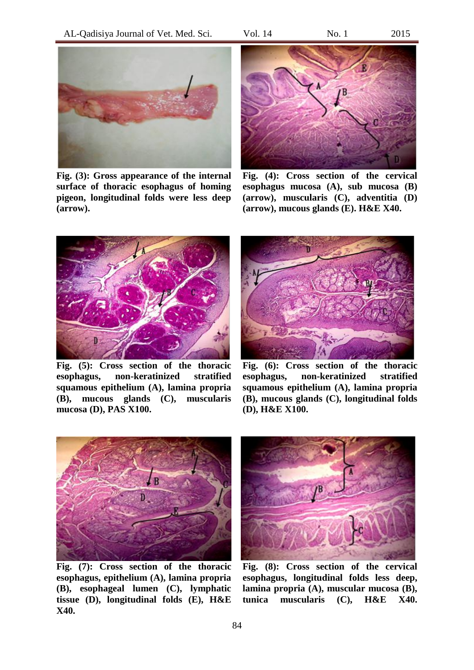AL-Qadisiya Journal of Vet. Med. Sci. Vol. 14 No. 1 2015



**Fig. (3): Gross appearance of the internal surface of thoracic esophagus of homing pigeon, longitudinal folds were less deep (arrow).**



**Fig. (4): Cross section of the cervical esophagus mucosa (A), sub mucosa (B) (arrow), muscularis (C), adventitia (D) (arrow), mucous glands (E). H&E X40.**



**Fig. (5): Cross section of the thoracic esophagus, non-keratinized stratified squamous epithelium (A), lamina propria (B), mucous glands (C), muscularis mucosa (D), PAS X100.**



**Fig. (6): Cross section of the thoracic esophagus, non-keratinized stratified squamous epithelium (A), lamina propria (B), mucous glands (C), longitudinal folds (D), H&E X100.**



**Fig. (7): Cross section of the thoracic esophagus, epithelium (A), lamina propria (B), esophageal lumen (C), lymphatic tissue (D), longitudinal folds (E), H&E X40.**



**Fig. (8): Cross section of the cervical esophagus, longitudinal folds less deep, lamina propria (A), muscular mucosa (B), tunica muscularis (C), H&E X40.**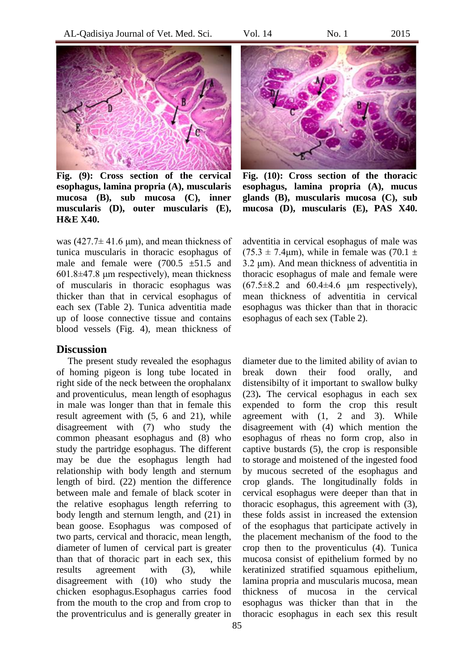

**Fig. (9): Cross section of the cervical esophagus, lamina propria (A), muscularis mucosa (B), sub mucosa (C), inner muscularis (D), outer muscularis (E), H&E X40.**

was  $(427.7 \pm 41.6 \,\mu\text{m})$ , and mean thickness of tunica muscularis in thoracic esophagus of male and female were  $(700.5 \pm 51.5)$  and 601.8±47.8 μm respectively), mean thickness of muscularis in thoracic esophagus was thicker than that in cervical esophagus of each sex (Table 2). Tunica adventitia made up of loose connective tissue and contains blood vessels (Fig. 4), mean thickness of

#### **Discussion**

The present study revealed the esophagus of homing pigeon is long tube located in right side of the neck between the orophalanx and proventiculus, mean length of esophagus in male was longer than that in female this result agreement with (5, 6 and 21), while disagreement with (7) who study the common pheasant esophagus and (8) who study the partridge esophagus. The different may be due the esophagus length had relationship with body length and sternum length of bird. (22) mention the difference between male and female of black scoter in the relative esophagus length referring to body length and sternum length, and (21) in bean goose. Esophagus was composed of two parts, cervical and thoracic, mean length, diameter of lumen of cervical part is greater than that of thoracic part in each sex, this results agreement with (3), while disagreement with (10) who study the chicken esophagus.Esophagus carries food from the mouth to the crop and from crop to the proventriculus and is generally greater in



**Fig. (10): Cross section of the thoracic esophagus, lamina propria (A), mucus glands (B), muscularis mucosa (C), sub mucosa (D), muscularis (E), PAS X40.**

adventitia in cervical esophagus of male was  $(75.3 \pm 7.4 \mu m)$ , while in female was  $(70.1 \pm 1)$ 3.2 μm). And mean thickness of adventitia in thoracic esophagus of male and female were  $(67.5\pm8.2)$  and  $60.4\pm4.6$  um respectively). mean thickness of adventitia in cervical esophagus was thicker than that in thoracic esophagus of each sex (Table 2).

diameter due to the limited ability of avian to break down their food orally, and distensibilty of it important to swallow bulky (23)**.** The cervical esophagus in each sex expended to form the crop this result agreement with (1, 2 and 3). While disagreement with (4) which mention the esophagus of rheas no form crop, also in captive bustards (5), the crop is responsible to storage and moistened of the ingested food by mucous secreted of the esophagus and crop glands. The longitudinally folds in cervical esophagus were deeper than that in thoracic esophagus, this agreement with (3), these folds assist in increased the extension of the esophagus that participate actively in the placement mechanism of the food to the crop then to the proventiculus (4). Tunica mucosa consist of epithelium formed by no keratinized stratified squamous epithelium, lamina propria and muscularis mucosa, mean thickness of mucosa in the cervical esophagus was thicker than that in the thoracic esophagus in each sex this result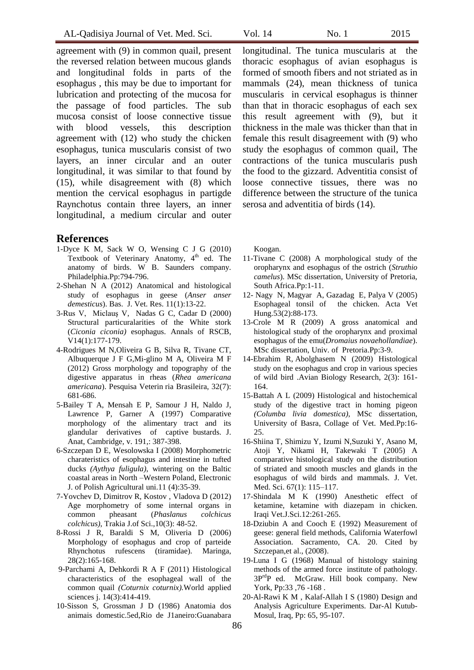agreement with (9) in common quail, present the reversed relation between mucous glands and longitudinal folds in parts of the esophagus , this may be due to important for lubrication and protecting of the mucosa for the passage of food particles. The sub mucosa consist of loose connective tissue with blood vessels, this description agreement with (12) who study the chicken esophagus, tunica muscularis consist of two layers, an inner circular and an outer longitudinal, it was similar to that found by (15), while disagreement with (8) which mention the cervical esophagus in partigde Raynchotus contain three layers, an inner longitudinal, a medium circular and outer

#### **References**

- 1-Dyce K M, Sack W O, Wensing C J G (2010) Textbook of Veterinary Anatomy, 4<sup>th</sup> ed. The anatomy of birds. W B. Saunders company. Philadelphia.Pp:794-796.
- 2-Shehan N A (2012) Anatomical and histological study of esophagus in geese (*Anser anser demesticus*). Bas. J. Vet. Res. 11(1):13-22.
- 3-Rus V, Miclauş V, Nadas G C, Cadar D (2000) Structural particuralarities of the White stork (*Ciconia ciconia)* esophagus. Annals of RSCB, V14(1):177-179.
- 4-Rodrigues M N,Oliveira G B, Silva R, Tivane CT, Albuquerque J F G,Mi-glino M A, Oliveira M F (2012) Gross morphology and topography of the digestive apparatus in rheas (*Rhea americana americana*). Pesquisa Veterin ria Brasileira, 32(7): 681-686.
- 5[-Bailey T A,](http://www.ncbi.nlm.nih.gov/pubmed?term=Bailey%20TA%5BAuthor%5D&cauthor=true&cauthor_uid=9418995) [Mensah E P,](http://www.ncbi.nlm.nih.gov/pubmed?term=Mensah-Brown%20EP%5BAuthor%5D&cauthor=true&cauthor_uid=9418995) [Samour J H,](http://www.ncbi.nlm.nih.gov/pubmed?term=Samour%20JH%5BAuthor%5D&cauthor=true&cauthor_uid=9418995) [Naldo](http://www.ncbi.nlm.nih.gov/pubmed?term=Naldo%20J%5BAuthor%5D&cauthor=true&cauthor_uid=9418995) J, [Lawrence P,](http://www.ncbi.nlm.nih.gov/pubmed?term=Lawrence%20P%5BAuthor%5D&cauthor=true&cauthor_uid=9418995) [Garner A](http://www.ncbi.nlm.nih.gov/pubmed?term=Garner%20A%5BAuthor%5D&cauthor=true&cauthor_uid=9418995) (1997) Comparative morphology of the alimentary tract and its glandular derivatives of captive bustards. J. Anat, Cambridge, v. 191,: 387-398.
- 6-Szczepan D E, Wesolowska I (2008) Morphometric charateristics of esophagus and intestine in tufted ducks *(Aythya fuligula)*, wintering on the Baltic coastal areas in North –Western Poland, Electronic J. of Polish Agricultural uni.11 (4):35-39.
- 7-Yovchev D, Dimitrov R, Kostov , Vladova D (2012) Age morphometry of some internal organs in common pheasant (*Phaslanus colchicus colchicus)*, Trakia J.of Sci.,10(3): 48-52.
- 8-Rossi J R, Baraldi S M, Oliveria D (2006) Morphology of esophagus and crop of parteide Rhynchotus rufescens (tiramidae). Maringa, 28(2):165-168.
- 9-Parchami A, Dehkordi R A F (2011) Histological characteristics of the esophageal wall of the common quail *(Coturnix coturnix).*World applied sciences j. 14(3):414-419.
- 10-Sisson S, Grossman J D (1986) Anatomia dos animais domestic.5ed,Rio de J1aneiro:Guanabara

longitudinal. The tunica muscularis at the thoracic esophagus of avian esophagus is formed of smooth fibers and not striated as in mammals (24), mean thickness of tunica muscularis in cervical esophagus is thinner than that in thoracic esophagus of each sex this result agreement with (9), but it thickness in the male was thicker than that in female this result disagreement with (9) who study the esophagus of common quail, The contractions of the tunica muscularis push the food to the gizzard. Adventitia consist of loose connective tissues, there was no difference between the structure of the tunica serosa and adventitia of birds (14).

Koogan.

- 11-Tivane C (2008) A morphological study of the oropharynx and esophagus of the ostrich (*Struthio camelus*). MSc dissertation, University of Pretoria, South Africa.Pp:1-11.
- 12- Nagy N, Magyar A, Gazadag E, Palya V (2005) Esophageal tonsil of the chicken. Acta Vet Hung.53(2):88-173.
- 13-Crole M R (2009) A gross anatomical and histological study of the oropharynx and proximal esophagus of the emu(*Dromaius novaehollandiae*). MSc dissertation, Univ. of Pretoria.Pp:3-9.
- 14-Ebrahim R, Abolghasem N (2009) Histological study on the esophagus and crop in various species of wild bird [.Avian Biology Research,](http://www.ingentaconnect.com/content/stl/abr) 2(3): 161- 164.
- 15-Battah A L (2009) Histological and histochemical study of the digestive tract in homing pigeon *(Columba livia domestica)*, MSc dissertation, University of Basra, Collage of Vet. Med.Pp:16- 25.
- 16[-Shiina](http://www.ncbi.nlm.nih.gov/pubmed?term=Shiina%20T%5BAuthor%5D&cauthor=true&cauthor_uid=15699607) T, [Shimizu](http://www.ncbi.nlm.nih.gov/pubmed?term=Shimizu%20Y%5BAuthor%5D&cauthor=true&cauthor_uid=15699607) Y, [Izumi](http://www.ncbi.nlm.nih.gov/pubmed?term=Izumi%20N%5BAuthor%5D&cauthor=true&cauthor_uid=15699607) N[,Suzuki](http://www.ncbi.nlm.nih.gov/pubmed?term=Suzuki%20Y%5BAuthor%5D&cauthor=true&cauthor_uid=15699607) Y, [Asano](http://www.ncbi.nlm.nih.gov/pubmed?term=Asano%20M%5BAuthor%5D&cauthor=true&cauthor_uid=15699607) M, [Atoji](http://www.ncbi.nlm.nih.gov/pubmed?term=Atoji%20Y%5BAuthor%5D&cauthor=true&cauthor_uid=15699607) Y, [Nikami](http://www.ncbi.nlm.nih.gov/pubmed?term=Nikami%20H%5BAuthor%5D&cauthor=true&cauthor_uid=15699607) H, [Takewaki](http://www.ncbi.nlm.nih.gov/pubmed?term=Takewaki%20T%5BAuthor%5D&cauthor=true&cauthor_uid=15699607) T (2005) A comparative histological study on the distribution of striated and smooth muscles and glands in the esophagus of wild birds and mammals. J. Vet. Med. Sci. 67(1): 115–117.
- 17-Shindala M K (1990) Anesthetic effect of ketamine, ketamine with diazepam in chicken. Iraqi Vet.J.Sci.12:261-265.
- 18-Dziubin A and Cooch E (1992) Measurement of geese: general field methods, California Waterfowl Association. Sacramento, CA. 20. Cited by Szczepan,et al., (2008).
- 19-Luna I G (1968) Manual of histology staining methods of the armed force institute of pathology. 3PrdP ed. McGraw. Hill book company. New York, Pp:33 ,76 -168 .
- 20-Al-Rawi K M , Kalaf-Allah I S (1980) Design and Analysis Agriculture Experiments. Dar-Al Kutub-Mosul, Iraq, Pp: 65, 95-107.